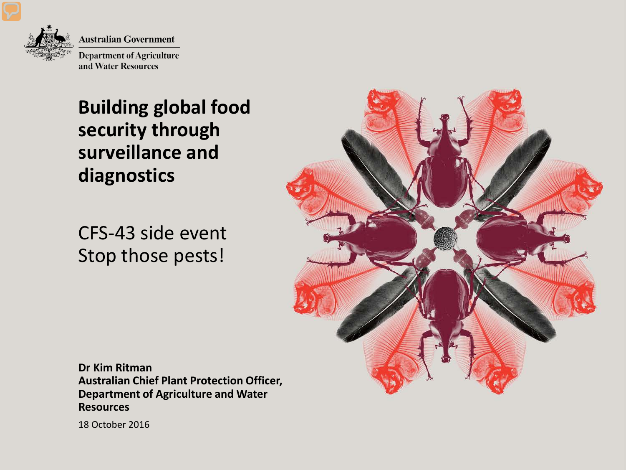

**Australian Government** 

**Department of Agriculture** and Water Resources

#### **Building global food security through surveillance and diagnostics**

CFS-43 side event Stop those pests!



**Dr Kim Ritman Australian Chief Plant Protection Officer, Department of Agriculture and Water Resources**

18 October 2016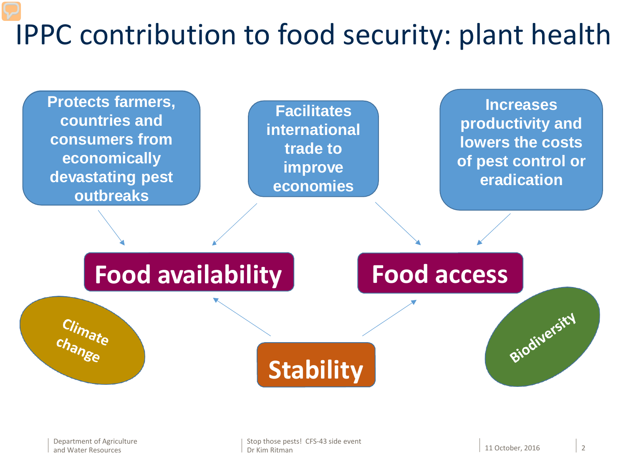### IPPC contribution to food security: plant health

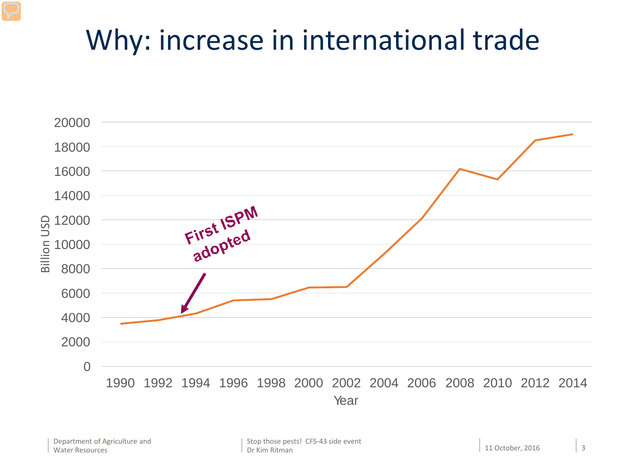#### Why: increase in international trade

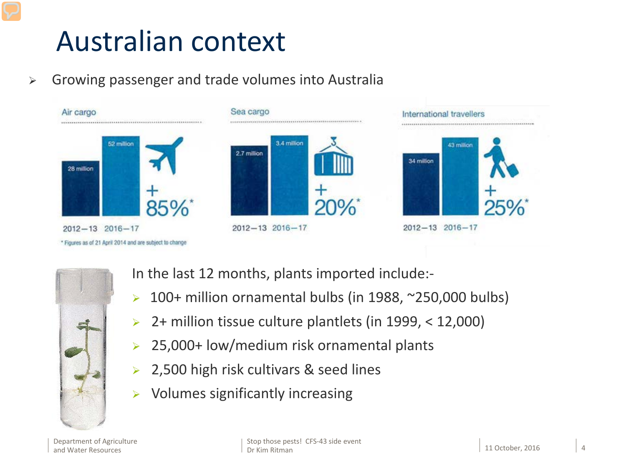#### Australian context

 $\triangleright$  Growing passenger and trade volumes into Australia





In the last 12 months, plants imported include:-

- $\geq 100+$  million ornamental bulbs (in 1988, ~250,000 bulbs)
- $\geq$  2+ million tissue culture plantlets (in 1999, < 12,000)
- 25,000+ low/medium risk ornamental plants
- 2,500 high risk cultivars & seed lines
- $\triangleright$  Volumes significantly increasing

Department of Agriculture and Water Resources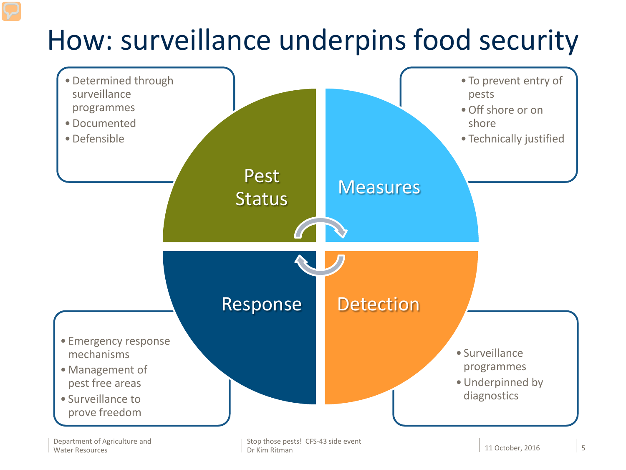### How: surveillance underpins food security



Stop those pests! CFS-43 side event Dr Kim Ritman 11 October, 2016 5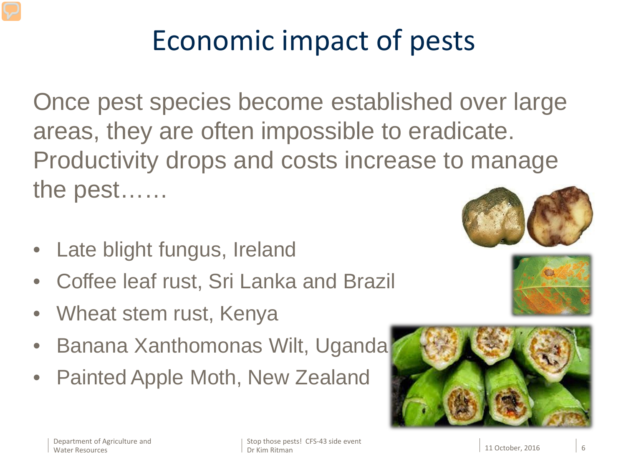## Economic impact of pests

Once pest species become established over large areas, they are often impossible to eradicate. Productivity drops and costs increase to manage the pest……

- Late blight fungus, Ireland
- Coffee leaf rust, Sri Lanka and Brazil
- Wheat stem rust, Kenya
- Banana Xanthomonas Wilt, Uganda
- Painted Apple Moth, New Zealand



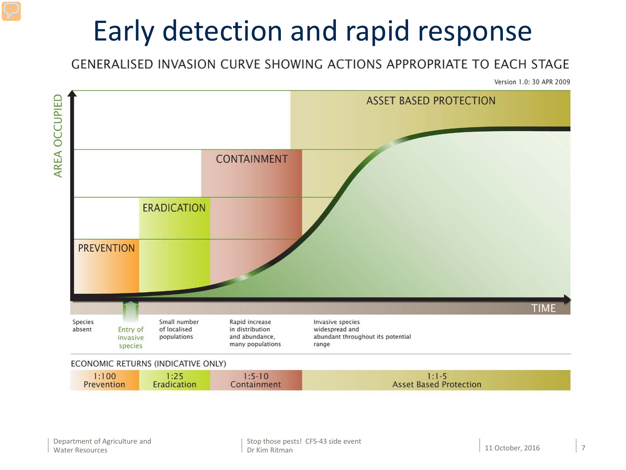### Early detection and rapid response

#### **GENERALISED INVASION CURVE SHOWING ACTIONS APPROPRIATE TO EACH STAGE**

Version 1.0: 30 APR 2009



| :100       | $\sim$ 4.00 | $1:5-10$    |                               |
|------------|-------------|-------------|-------------------------------|
| Prevention | Eradication | Containment | <b>Asset Based Protection</b> |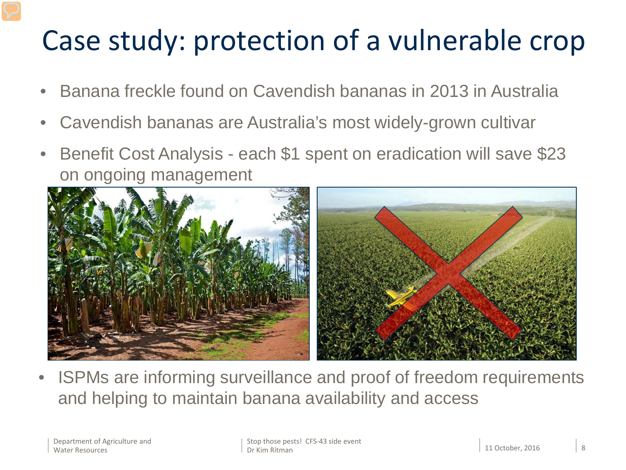### Case study: protection of a vulnerable crop

- Banana freckle found on Cavendish bananas in 2013 in Australia
- Cavendish bananas are Australia's most widely-grown cultivar
- Benefit Cost Analysis each \$1 spent on eradication will save \$23 on ongoing management



ISPMs are informing surveillance and proof of freedom requirements and helping to maintain banana availability and access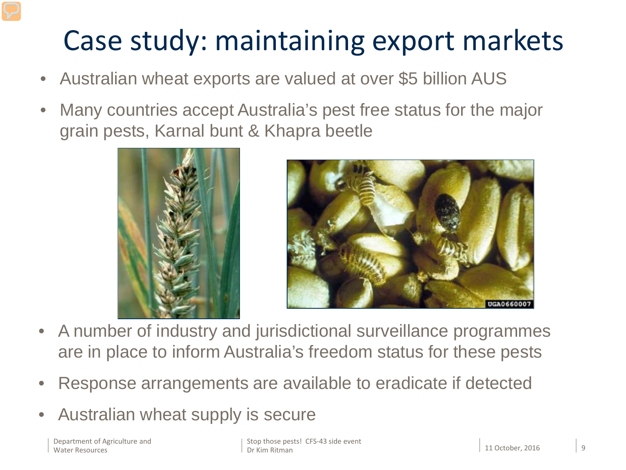#### Case study: maintaining export markets

- Australian wheat exports are valued at over \$5 billion AUS
- Many countries accept Australia's pest free status for the major grain pests, Karnal bunt & Khapra beetle





- A number of industry and jurisdictional surveillance programmes are in place to inform Australia's freedom status for these pests
- Response arrangements are available to eradicate if detected
- Australian wheat supply is secure

Department of Agriculture and Water Resources

Stop those pests! CFS-43 side event Dr Kim Ritman 11 October, 2016 9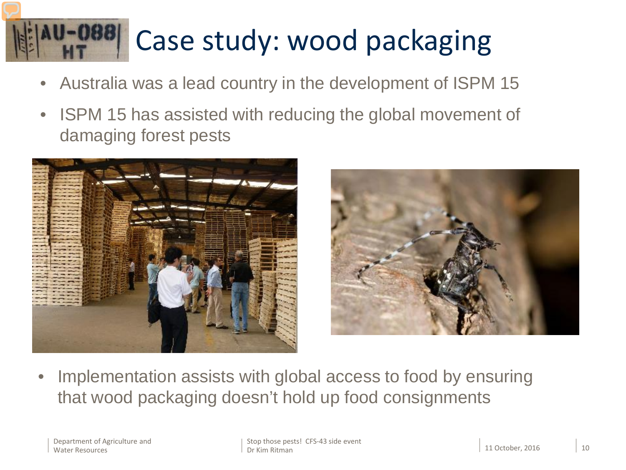# Case study: wood packaging

- Australia was a lead country in the development of ISPM 15
- ISPM 15 has assisted with reducing the global movement of damaging forest pests





Implementation assists with global access to food by ensuring that wood packaging doesn't hold up food consignments